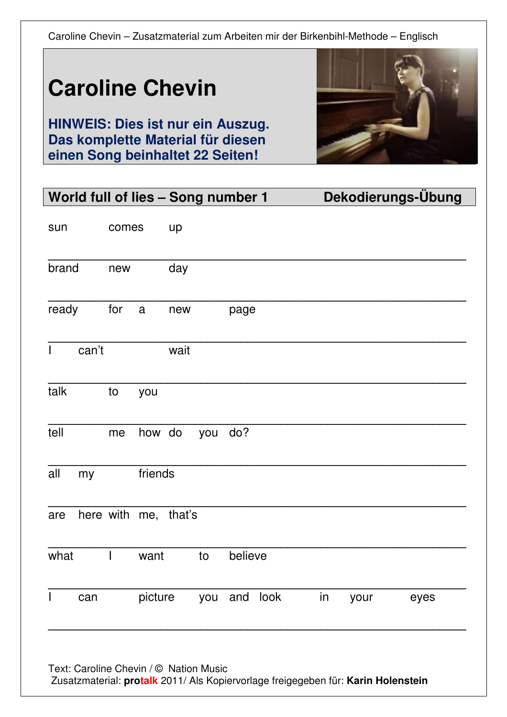# **Caroline Chevin**

**HINWEIS: Dies ist nur ein Auszug. Das komplette Material für diesen einen Song beinhaltet 22 Seiten!** 



| World full of lies - Song number 1 |                      |              |      |     |              |  |    |      | Dekodierungs-Übung |
|------------------------------------|----------------------|--------------|------|-----|--------------|--|----|------|--------------------|
| sun                                | comes                |              | up   |     |              |  |    |      |                    |
| brand                              | new                  |              | day  |     |              |  |    |      |                    |
| ready                              | for                  | $\mathsf{a}$ | new  |     | page         |  |    |      |                    |
| can't<br>$\mathsf{L}$              |                      |              | wait |     |              |  |    |      |                    |
| talk                               | to                   | you          |      |     |              |  |    |      |                    |
| tell                               | me                   | how do       |      | you | do?          |  |    |      |                    |
| all<br>my                          |                      | friends      |      |     |              |  |    |      |                    |
| are                                | here with me, that's |              |      |     |              |  |    |      |                    |
| what                               |                      | want         |      | to  | believe      |  |    |      |                    |
| can<br>$\mathsf{I}$                |                      | picture      |      |     | you and look |  | in | your | eyes               |
|                                    |                      |              |      |     |              |  |    |      |                    |

Text: Caroline Chevin / © Nation Music

Zusatzmaterial: **protalk** 2011/ Als Kopiervorlage freigegeben für: **Karin Holenstein**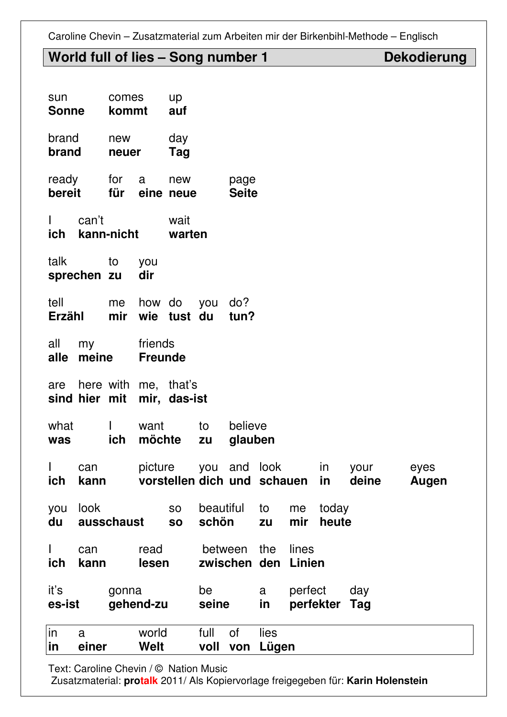# World full of lies - Song number 1 Dekodierung

| sun<br><b>Sonne</b> |             | comes<br>kommt      |                           | <b>up</b><br>auf                                   |                    |                      |               |                 |                |               |               |
|---------------------|-------------|---------------------|---------------------------|----------------------------------------------------|--------------------|----------------------|---------------|-----------------|----------------|---------------|---------------|
| brand<br>brand      |             | new<br>neuer        |                           | day<br>Tag                                         |                    |                      |               |                 |                |               |               |
| ready<br>bereit     |             | for<br>für          | $\alpha$                  | new<br>eine neue                                   |                    | page<br><b>Seite</b> |               |                 |                |               |               |
| $\mathbf{L}$<br>ich | can't       | kann-nicht          |                           | wait<br>warten                                     |                    |                      |               |                 |                |               |               |
| talk                | sprechen zu | to                  | you<br>dir                |                                                    |                    |                      |               |                 |                |               |               |
| tell<br>Erzähl      |             | me<br>mir           | how do                    | wie tust du                                        | you                | do?<br>tun?          |               |                 |                |               |               |
| all<br>alle         | my<br>meine |                     | friends<br><b>Freunde</b> |                                                    |                    |                      |               |                 |                |               |               |
| are                 |             |                     |                           | here with me, that's<br>sind hier mit mir, das-ist |                    |                      |               |                 |                |               |               |
| what<br>was         |             | $\mathbf{I}$<br>ich | want<br>möchte            |                                                    | to<br>zu           | believe<br>glauben   |               |                 |                |               |               |
| ich                 | can<br>kann |                     | picture                   | vorstellen dich und schauen                        | you and            |                      | look          |                 | in<br>in       | your<br>deine | eyes<br>Augen |
| you<br>du           | look        | ausschaust          |                           | <b>SO</b><br><b>SO</b>                             | beautiful<br>schön |                      | to<br>zu      | me<br>mir       | today<br>heute |               |               |
| L<br>ich            | can<br>kann |                     | read<br>lesen             |                                                    | between            | zwischen den         | the           | lines<br>Linien |                |               |               |
| it's<br>es-ist      |             | gonna               | gehend-zu                 |                                                    | be<br>seine        |                      | a<br>in       | perfect         | perfekter Tag  | day           |               |
| in<br>in            | a<br>einer  |                     | world<br><b>Welt</b>      |                                                    | full<br>voll von   | 0f                   | lies<br>Lügen |                 |                |               |               |

Text: Caroline Chevin / © Nation Music

Zusatzmaterial: **protalk** 2011/ Als Kopiervorlage freigegeben für: **Karin Holenstein**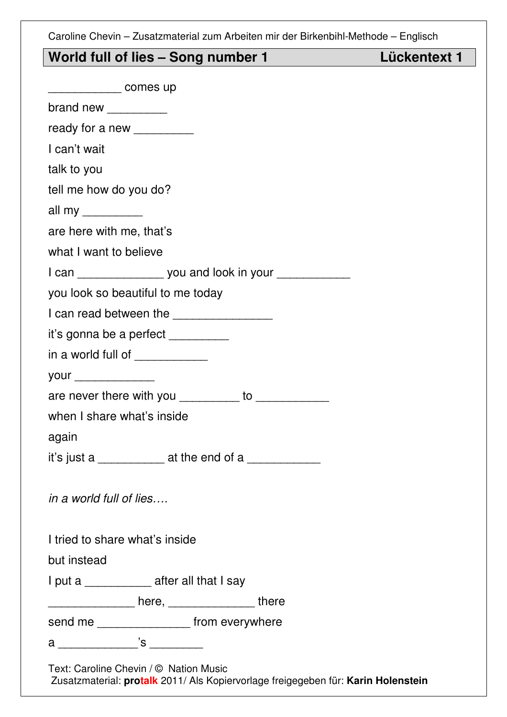**Lückentext 1** 

|  | World full of lies - Song number 1 |
|--|------------------------------------|
|--|------------------------------------|

| comes up                                    |                                                                 |
|---------------------------------------------|-----------------------------------------------------------------|
| brand new $\frac{1}{2}$                     |                                                                 |
| ready for a new __________                  |                                                                 |
| I can't wait                                |                                                                 |
| talk to you                                 |                                                                 |
| tell me how do you do?                      |                                                                 |
| all my ___________                          |                                                                 |
| are here with me, that's                    |                                                                 |
| what I want to believe                      |                                                                 |
|                                             | I can ____________________ you and look in your _______________ |
| you look so beautiful to me today           |                                                                 |
|                                             | I can read between the _________________                        |
| it's gonna be a perfect __________          |                                                                 |
| in a world full of ____________             |                                                                 |
|                                             |                                                                 |
|                                             | are never there with you __________ to ____________             |
| when I share what's inside                  |                                                                 |
| again                                       |                                                                 |
| it's just a _____________ at the end of a   |                                                                 |
| in a world full of lies                     |                                                                 |
| I tried to share what's inside              |                                                                 |
| but instead                                 |                                                                 |
| I put a ______________ after all that I say |                                                                 |
|                                             |                                                                 |
|                                             | send me ___________________ from everywhere                     |
|                                             |                                                                 |
| Text: Caroline Chevin / © Nation Music      |                                                                 |

Zusatzmaterial: **protalk** 2011/ Als Kopiervorlage freigegeben für: **Karin Holenstein**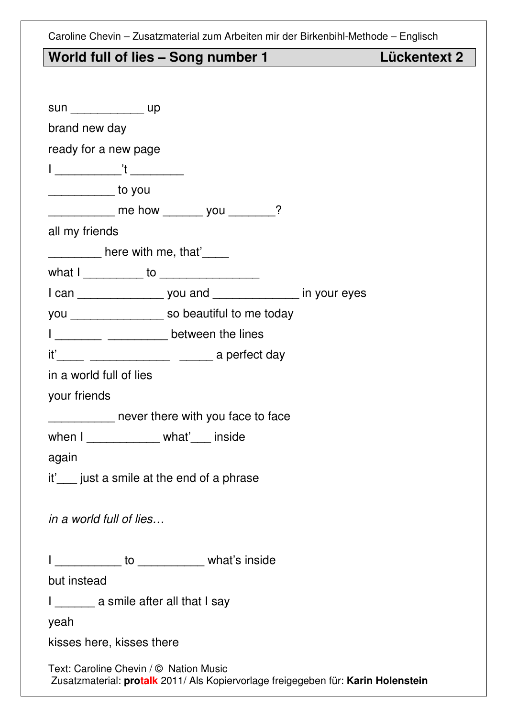## World full of lies - Song number 1 Lückentext 2

|  |  | Lückentext 2 |  |
|--|--|--------------|--|

| sun __________________ up   |                                           |                                                                      |                                                                                   |
|-----------------------------|-------------------------------------------|----------------------------------------------------------------------|-----------------------------------------------------------------------------------|
| brand new day               |                                           |                                                                      |                                                                                   |
| ready for a new page        |                                           |                                                                      |                                                                                   |
|                             |                                           |                                                                      |                                                                                   |
| <u>_____________</u> to you |                                           |                                                                      |                                                                                   |
|                             |                                           |                                                                      |                                                                                   |
| all my friends              |                                           |                                                                      |                                                                                   |
|                             | <u>_________</u> here with me, that'_____ |                                                                      |                                                                                   |
|                             |                                           |                                                                      |                                                                                   |
|                             |                                           | I can _____________________ you and ___________________ in your eyes |                                                                                   |
|                             |                                           | you _________________ so beautiful to me today                       |                                                                                   |
|                             |                                           | I ____________ ___________ between the lines                         |                                                                                   |
|                             |                                           | it'______ _________________ _______ a perfect day                    |                                                                                   |
| in a world full of lies     |                                           |                                                                      |                                                                                   |
| your friends                |                                           |                                                                      |                                                                                   |
|                             |                                           | _____________ never there with you face to face                      |                                                                                   |
|                             | when I ____________ what' __ inside       |                                                                      |                                                                                   |
| again                       |                                           |                                                                      |                                                                                   |
|                             |                                           | it' <sub>___</sub> just a smile at the end of a phrase               |                                                                                   |
|                             |                                           |                                                                      |                                                                                   |
| in a world full of lies     |                                           |                                                                      |                                                                                   |
|                             |                                           |                                                                      |                                                                                   |
|                             |                                           | I ____________ to ___________ what's inside                          |                                                                                   |
| but instead                 |                                           |                                                                      |                                                                                   |
|                             | I ________ a smile after all that I say   |                                                                      |                                                                                   |
| yeah                        |                                           |                                                                      |                                                                                   |
|                             | kisses here, kisses there                 |                                                                      |                                                                                   |
|                             | Text: Caroline Chevin / © Nation Music    |                                                                      | Zusatzmaterial: protalk 2011/ Als Kopiervorlage freigegeben für: Karin Holenstein |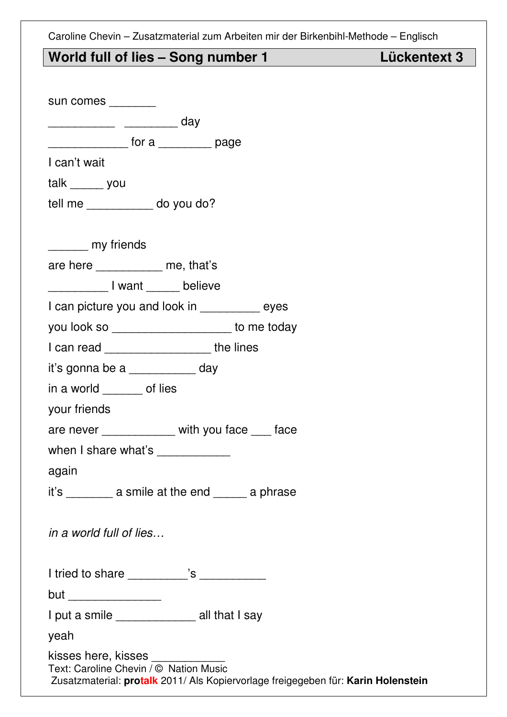### World full of lies - Song number 1 Lückentext 3

| sun comes ________                                                                                                                                         |
|------------------------------------------------------------------------------------------------------------------------------------------------------------|
| _______________ ___________ day                                                                                                                            |
| ________________ for a ___________ page                                                                                                                    |
| I can't wait                                                                                                                                               |
| talk _______ you                                                                                                                                           |
| tell me ____________ do you do?                                                                                                                            |
|                                                                                                                                                            |
| ________ my friends                                                                                                                                        |
| are here __________ me, that's                                                                                                                             |
| Louisville Louisville Louisville Louisville Delieve                                                                                                        |
| I can picture you and look in ___________ eyes                                                                                                             |
| you look so ____________________ to me today                                                                                                               |
| I can read _____________________ the lines                                                                                                                 |
| it's gonna be a ___________ day                                                                                                                            |
| in a world _______ of lies                                                                                                                                 |
| your friends                                                                                                                                               |
| are never ___________ with you face ___ face                                                                                                               |
| when I share what's ____________                                                                                                                           |
| again                                                                                                                                                      |
| it's ___________ a smile at the end _______ a phrase                                                                                                       |
|                                                                                                                                                            |
| in a world full of lies                                                                                                                                    |
|                                                                                                                                                            |
| I tried to share __________'s ___________                                                                                                                  |
| but ___________________                                                                                                                                    |
| I put a smile _____________ all that I say                                                                                                                 |
| yeah                                                                                                                                                       |
| kisses here, kisses www.com<br>Text: Caroline Chevin / © Nation Music<br>Zusatzmaterial: protalk 2011/ Als Kopiervorlage freigegeben für: Karin Holenstein |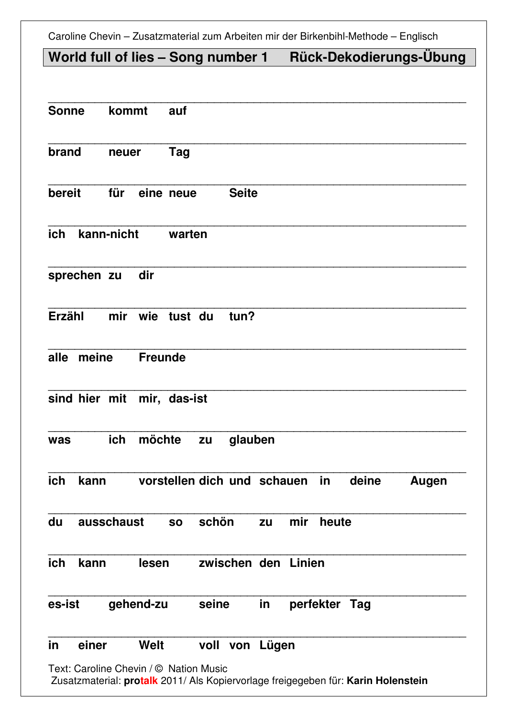# **World full of lies – Song number 1 Rück-Dekodierungs-Übung**

| <b>Sonne</b>               | kommt           |                             |       |              |    |        |               |       |       |
|----------------------------|-----------------|-----------------------------|-------|--------------|----|--------|---------------|-------|-------|
| brand                      | neuer           | Tag                         |       |              |    |        |               |       |       |
| bereit                     | für             | eine neue                   |       | <b>Seite</b> |    |        |               |       |       |
| ich                        | kann-nicht      | warten                      |       |              |    |        |               |       |       |
| sprechen zu                | dir             |                             |       |              |    |        |               |       |       |
| <b>Erzähl</b>              | mir wie tust du |                             |       | tun?         |    |        |               |       |       |
| alle<br>meine              |                 | <b>Freunde</b>              |       |              |    |        |               |       |       |
| sind hier mit mir, das-ist |                 |                             |       |              |    |        |               |       |       |
| was                        | ich             | möchte                      | zu    | glauben      |    |        |               |       |       |
| ich<br>kann                |                 | vorstellen dich und schauen |       |              |    |        | in            | deine | Augen |
| du                         | ausschaust      | <b>SO</b>                   | schön |              | zu | mir    | heute         |       |       |
| ich<br>kann                |                 | lesen                       |       | zwischen den |    | Linien |               |       |       |
| es-ist                     | gehend-zu       |                             | seine |              | in |        | perfekter Tag |       |       |
|                            |                 |                             |       |              |    |        |               |       |       |